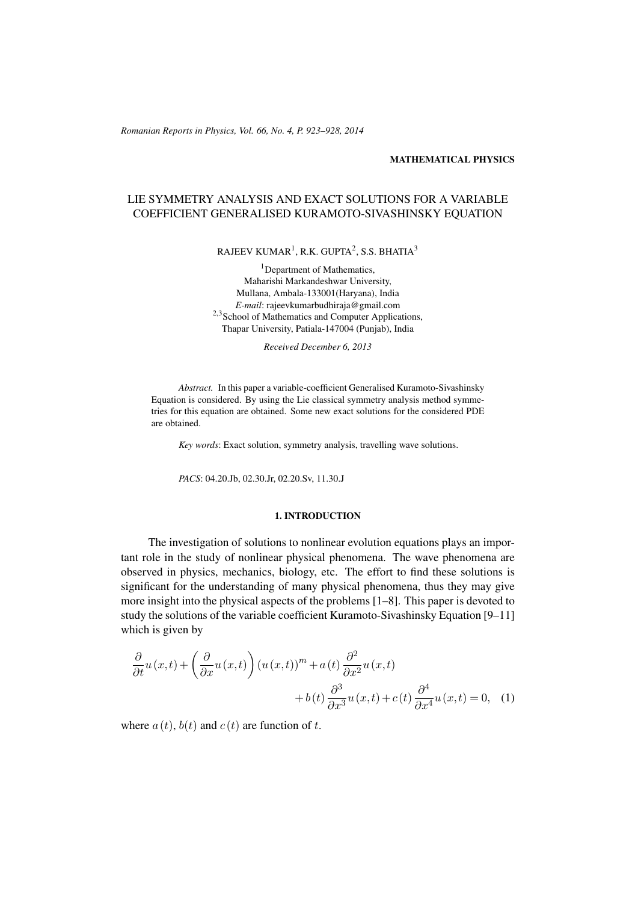*Romanian Reports in Physics, Vol. 66, No. 4, P. 923–928, 2014*

### MATHEMATICAL PHYSICS

# LIE SYMMETRY ANALYSIS AND EXACT SOLUTIONS FOR A VARIABLE COEFFICIENT GENERALISED KURAMOTO-SIVASHINSKY EQUATION

RAJEEV KUMAR $^1$ , R.K. GUPTA $^2$ , S.S. BHATIA $^3$ 

<sup>1</sup>Department of Mathematics, Maharishi Markandeshwar University, Mullana, Ambala-133001(Haryana), India *E-mail*: rajeevkumarbudhiraja@gmail.com <sup>2,3</sup>School of Mathematics and Computer Applications, Thapar University, Patiala-147004 (Punjab), India

*Received December 6, 2013*

*Abstract.* In this paper a variable-coefficient Generalised Kuramoto-Sivashinsky Equation is considered. By using the Lie classical symmetry analysis method symmetries for this equation are obtained. Some new exact solutions for the considered PDE are obtained.

*Key words*: Exact solution, symmetry analysis, travelling wave solutions.

*PACS*: 04.20.Jb, 02.30.Jr, 02.20.Sv, 11.30.J

### <span id="page-0-0"></span>1. INTRODUCTION

The investigation of solutions to nonlinear evolution equations plays an important role in the study of nonlinear physical phenomena. The wave phenomena are observed in physics, mechanics, biology, etc. The effort to find these solutions is significant for the understanding of many physical phenomena, thus they may give more insight into the physical aspects of the problems [\[1](#page-5-0)[–8\]](#page-5-1). This paper is devoted to study the solutions of the variable coefficient Kuramoto-Sivashinsky Equation [\[9](#page-5-2)[–11\]](#page-5-3) which is given by

$$
\frac{\partial}{\partial t}u(x,t) + \left(\frac{\partial}{\partial x}u(x,t)\right)(u(x,t))^{m} + a(t)\frac{\partial^{2}}{\partial x^{2}}u(x,t) \n+ b(t)\frac{\partial^{3}}{\partial x^{3}}u(x,t) + c(t)\frac{\partial^{4}}{\partial x^{4}}u(x,t) = 0, (1)
$$

where  $a(t)$ ,  $b(t)$  and  $c(t)$  are function of t.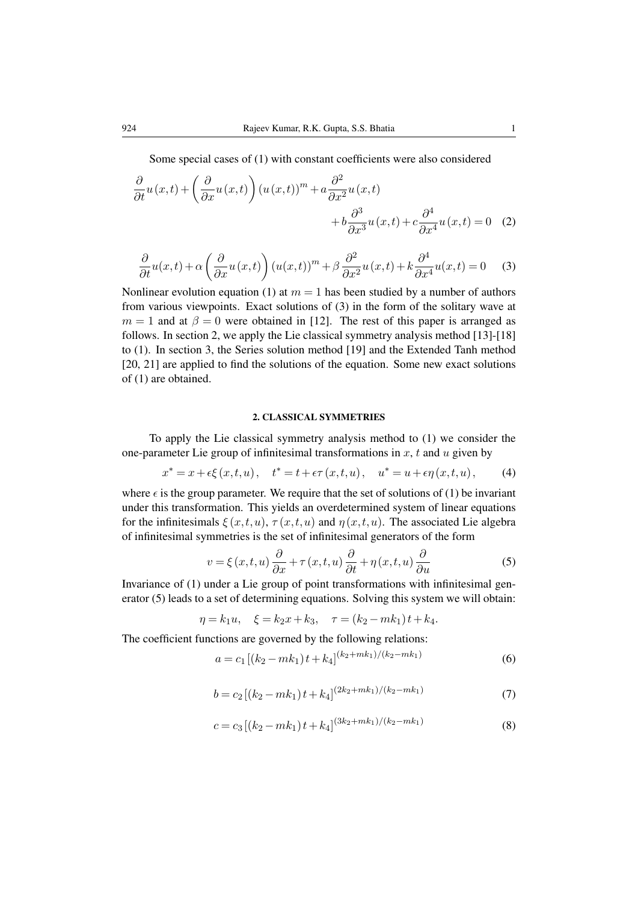Some special cases of [\(1\)](#page-0-0) with constant coefficients were also considered

$$
\frac{\partial}{\partial t}u(x,t) + \left(\frac{\partial}{\partial x}u(x,t)\right)(u(x,t))^m + a\frac{\partial^2}{\partial x^2}u(x,t) \n+ b\frac{\partial^3}{\partial x^3}u(x,t) + c\frac{\partial^4}{\partial x^4}u(x,t) = 0
$$
 (2)

<span id="page-1-0"></span>
$$
\frac{\partial}{\partial t}u(x,t) + \alpha \left(\frac{\partial}{\partial x}u(x,t)\right) \left(u(x,t)\right)^m + \beta \frac{\partial^2}{\partial x^2}u(x,t) + k \frac{\partial^4}{\partial x^4}u(x,t) = 0 \quad (3)
$$

Nonlinear evolution equation [\(1\)](#page-0-0) at  $m = 1$  has been studied by a number of authors from various viewpoints. Exact solutions of [\(3\)](#page-1-0) in the form of the solitary wave at  $m = 1$  and at  $\beta = 0$  were obtained in [\[12\]](#page-5-4). The rest of this paper is arranged as follows. In section 2, we apply the Lie classical symmetry analysis method [\[13\]](#page-5-5)-[\[18\]](#page-5-6) to [\(1\)](#page-0-0). In section 3, the Series solution method [\[19\]](#page-5-7) and the Extended Tanh method [\[20,](#page-5-8) [21\]](#page-5-9) are applied to find the solutions of the equation. Some new exact solutions of [\(1\)](#page-0-0) are obtained.

### <span id="page-1-1"></span>2. CLASSICAL SYMMETRIES

To apply the Lie classical symmetry analysis method to [\(1\)](#page-0-0) we consider the one-parameter Lie group of infinitesimal transformations in  $x$ ,  $t$  and  $u$  given by

$$
x^* = x + \epsilon \xi(x, t, u), \quad t^* = t + \epsilon \tau(x, t, u), \quad u^* = u + \epsilon \eta(x, t, u), \tag{4}
$$

where  $\epsilon$  is the group parameter. We require that the set of solutions of [\(1\)](#page-0-0) be invariant under this transformation. This yields an overdetermined system of linear equations for the infinitesimals  $\xi(x, t, u)$ ,  $\tau(x, t, u)$  and  $\eta(x, t, u)$ . The associated Lie algebra of infinitesimal symmetries is the set of infinitesimal generators of the form

$$
v = \xi(x, t, u) \frac{\partial}{\partial x} + \tau(x, t, u) \frac{\partial}{\partial t} + \eta(x, t, u) \frac{\partial}{\partial u}
$$
 (5)

Invariance of [\(1\)](#page-0-0) under a Lie group of point transformations with infinitesimal generator [\(5\)](#page-1-1) leads to a set of determining equations. Solving this system we will obtain:

$$
\eta = k_1 u, \quad \xi = k_2 x + k_3, \quad \tau = (k_2 - mk_1) t + k_4.
$$

The coefficient functions are governed by the following relations:

$$
a = c_1 \left[ (k_2 - mk_1) t + k_4 \right]^{(k_2 + mk_1)/(k_2 - mk_1)} \tag{6}
$$

$$
b = c_2 \left[ \left( k_2 - mk_1 \right) t + k_4 \right]^{(2k_2 + mk_1)/(k_2 - mk_1)} \tag{7}
$$

$$
c = c_3 \left[ (k_2 - mk_1) t + k_4 \right]^{(3k_2 + mk_1)/(k_2 - mk_1)} \tag{8}
$$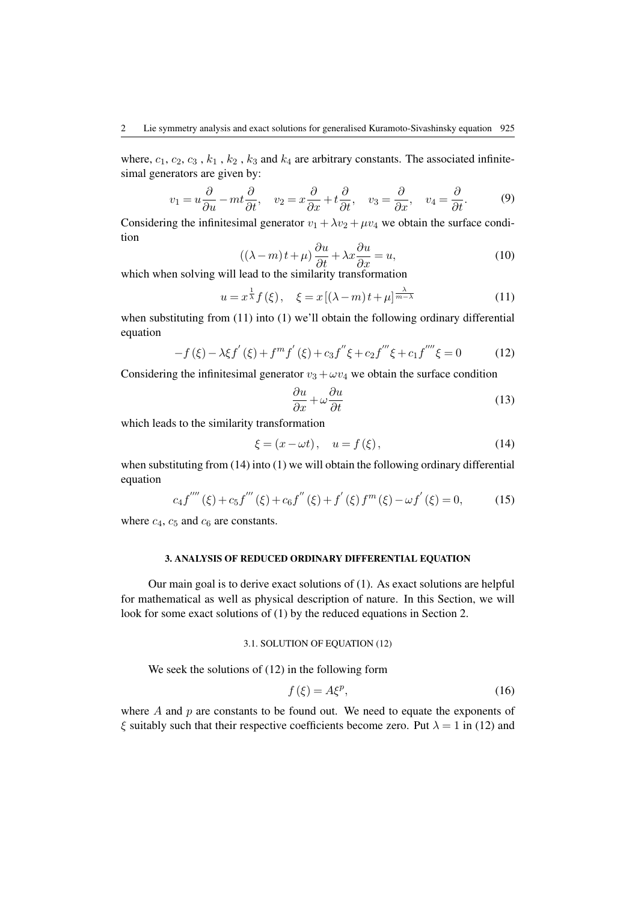where,  $c_1$ ,  $c_2$ ,  $c_3$ ,  $k_1$ ,  $k_2$ ,  $k_3$  and  $k_4$  are arbitrary constants. The associated infinitesimal generators are given by:

$$
v_1 = u\frac{\partial}{\partial u} - mt\frac{\partial}{\partial t}, \quad v_2 = x\frac{\partial}{\partial x} + t\frac{\partial}{\partial t}, \quad v_3 = \frac{\partial}{\partial x}, \quad v_4 = \frac{\partial}{\partial t}.
$$
 (9)

Considering the infinitesimal generator  $v_1 + \lambda v_2 + \mu v_4$  we obtain the surface condition

<span id="page-2-0"></span>
$$
((\lambda - m)t + \mu) \frac{\partial u}{\partial t} + \lambda x \frac{\partial u}{\partial x} = u,
$$
\n(10)

which when solving will lead to the similarity transformation

$$
u = x^{\frac{1}{\lambda}} f(\xi), \quad \xi = x \left[ (\lambda - m)t + \mu \right]^{\frac{\lambda}{m - \lambda}}
$$
(11)

when substituting from [\(11\)](#page-2-0) into [\(1\)](#page-0-0) we'll obtain the following ordinary differential equation

<span id="page-2-2"></span>
$$
-f(\xi) - \lambda \xi f'(\xi) + f^m f'(\xi) + c_3 f'' \xi + c_2 f''' \xi + c_1 f'''' \xi = 0 \tag{12}
$$

Considering the infinitesimal generator  $v_3 + \omega v_4$  we obtain the surface condition

<span id="page-2-1"></span>
$$
\frac{\partial u}{\partial x} + \omega \frac{\partial u}{\partial t} \tag{13}
$$

which leads to the similarity transformation

$$
\xi = (x - \omega t), \quad u = f(\xi), \tag{14}
$$

when substituting from [\(14\)](#page-2-1) into [\(1\)](#page-0-0) we will obtain the following ordinary differential equation

<span id="page-2-4"></span>
$$
c_4 f^{''''}(\xi) + c_5 f^{'''}(\xi) + c_6 f^{''}(\xi) + f^{'}(\xi) f^{m}(\xi) - \omega f^{'}(\xi) = 0,
$$
 (15)

where  $c_4$ ,  $c_5$  and  $c_6$  are constants.

## 3. ANALYSIS OF REDUCED ORDINARY DIFFERENTIAL EQUATION

Our main goal is to derive exact solutions of [\(1\)](#page-0-0). As exact solutions are helpful for mathematical as well as physical description of nature. In this Section, we will look for some exact solutions of [\(1\)](#page-0-0) by the reduced equations in Section 2.

### 3.1. SOLUTION OF EQUATION [\(12\)](#page-2-2)

We seek the solutions of  $(12)$  in the following form

<span id="page-2-3"></span>
$$
f(\xi) = A\xi^p,\tag{16}
$$

where  $A$  and  $p$  are constants to be found out. We need to equate the exponents of ξ suitably such that their respective coefficients become zero. Put  $\lambda = 1$  in [\(12\)](#page-2-2) and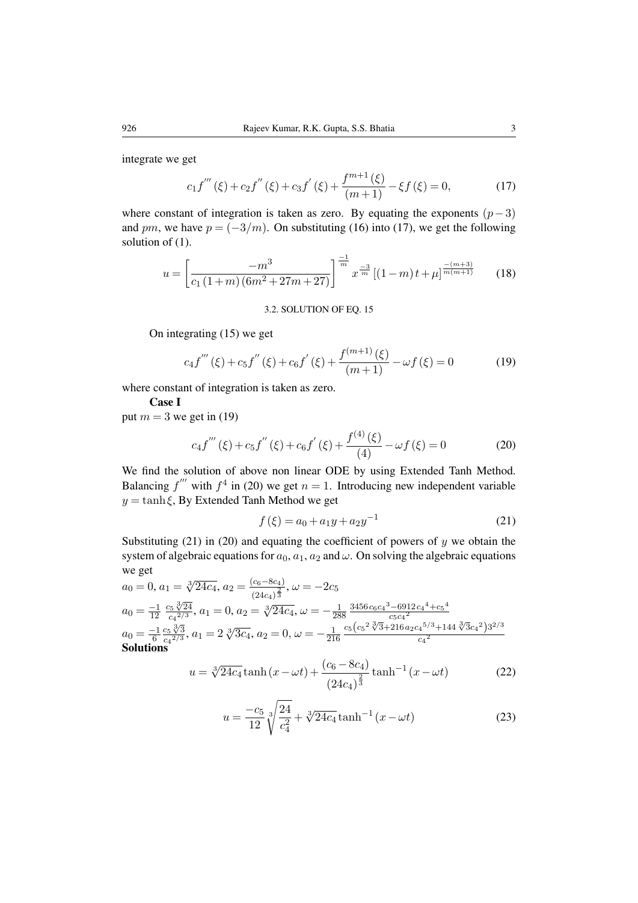integrate we get

<span id="page-3-0"></span>
$$
c_1 f'''(\xi) + c_2 f''(\xi) + c_3 f'(\xi) + \frac{f^{m+1}(\xi)}{(m+1)} - \xi f(\xi) = 0,
$$
 (17)

where constant of integration is taken as zero. By equating the exponents  $(p-3)$ and pm, we have  $p = (-3/m)$ . On substituting [\(16\)](#page-2-3) into [\(17\)](#page-3-0), we get the following solution of  $(1)$ .

$$
u = \left[\frac{-m^3}{c_1\left(1+m\right)\left(6m^2+27m+27\right)}\right]^{\frac{-1}{m}} x^{\frac{-3}{m}} \left[(1-m)t+\mu\right]^{\frac{-(m+3)}{m(m+1)}}\tag{18}
$$

#### <span id="page-3-1"></span>3.2. SOLUTION OF EQ. [15](#page-2-4)

On integrating [\(15\)](#page-2-4) we get

$$
c_4 f'''(\xi) + c_5 f''(\xi) + c_6 f'(\xi) + \frac{f^{(m+1)}(\xi)}{(m+1)} - \omega f(\xi) = 0
$$
 (19)

where constant of integration is taken as zero.

### Case I

put  $m = 3$  we get in [\(19\)](#page-3-1)

<span id="page-3-2"></span>
$$
c_4 f'''(\xi) + c_5 f''(\xi) + c_6 f'(\xi) + \frac{f^{(4)}(\xi)}{(4)} - \omega f(\xi) = 0
$$
 (20)

We find the solution of above non linear ODE by using Extended Tanh Method. Balancing  $f''$  with  $f^4$  in [\(20\)](#page-3-2) we get  $n = 1$ . Introducing new independent variable  $y = \tanh \xi$ , By Extended Tanh Method we get

<span id="page-3-3"></span>
$$
f(\xi) = a_0 + a_1 y + a_2 y^{-1}
$$
 (21)

Substituting [\(21\)](#page-3-3) in [\(20\)](#page-3-2) and equating the coefficient of powers of  $y$  we obtain the system of algebraic equations for  $a_0$ ,  $a_1$ ,  $a_2$  and  $\omega$ . On solving the algebraic equations we get

$$
a_0 = 0, a_1 = \sqrt[3]{24c_4}, a_2 = \frac{(c_6 - 8c_4)}{(24c_4)^{\frac{2}{3}}}, \omega = -2c_5
$$
  
\n
$$
a_0 = \frac{-1}{12} \frac{c_5 \sqrt[3]{24}}{c_4^{2/3}}, a_1 = 0, a_2 = \sqrt[3]{24c_4}, \omega = -\frac{1}{288} \frac{3456 c_6 c_4^3 - 6912 c_4^4 + c_5^4}{c_5 c_4^{2}}
$$
  
\n
$$
a_0 = \frac{-1}{6} \frac{c_5 \sqrt[3]{3}}{c_4^{2/3}}, a_1 = 2 \sqrt[3]{3c_4}, a_2 = 0, \omega = -\frac{1}{216} \frac{c_5 (c_5^2 \sqrt[3]{3} + 216 a_2 c_4^{5/3} + 144 \sqrt[3]{3} c_4^{2}) 3^{2/3}}{c_4^{2}}
$$
  
\n**Solutions**

<span id="page-3-4"></span>
$$
u = \sqrt[3]{24c_4} \tanh(x - \omega t) + \frac{(c_6 - 8c_4)}{(24c_4)^{\frac{2}{3}}} \tanh^{-1}(x - \omega t)
$$
 (22)

$$
u = \frac{-c_5}{12} \sqrt[3]{\frac{24}{c_4^2}} + \sqrt[3]{24c_4} \tanh^{-1} (x - \omega t)
$$
 (23)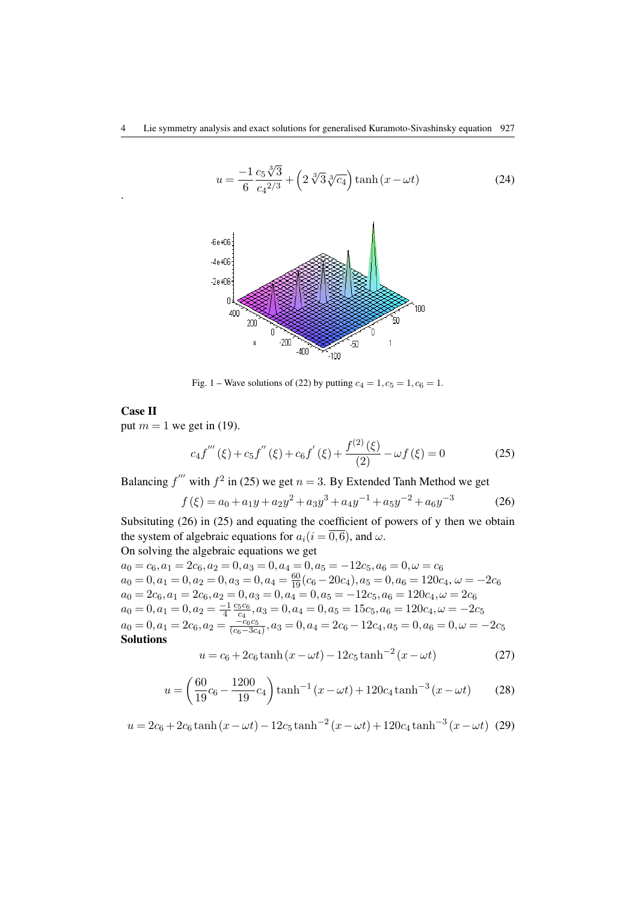$$
u = \frac{-1}{6} \frac{c_5 \sqrt[3]{3}}{c_4^{2/3}} + \left(2 \sqrt[3]{3} \sqrt[3]{c_4}\right) \tanh\left(x - \omega t\right) \tag{24}
$$



Fig. 1 – Wave solutions of [\(22\)](#page-3-4) by putting  $c_4 = 1, c_5 = 1, c_6 = 1$ .

## Case II

.

put  $m = 1$  we get in [\(19\)](#page-3-1).

<span id="page-4-1"></span><span id="page-4-0"></span>
$$
c_4 f'''(\xi) + c_5 f''(\xi) + c_6 f'(\xi) + \frac{f^{(2)}(\xi)}{(2)} - \omega f(\xi) = 0
$$
 (25)

Balancing  $f''$  with  $f^2$  in [\(25\)](#page-4-0) we get  $n = 3$ . By Extended Tanh Method we get

$$
f(\xi) = a_0 + a_1 y + a_2 y^2 + a_3 y^3 + a_4 y^{-1} + a_5 y^{-2} + a_6 y^{-3}
$$
 (26)

Subsituting [\(26\)](#page-4-1) in [\(25\)](#page-4-0) and equating the coefficient of powers of y then we obtain the system of algebraic equations for  $a_i(i = \overline{0,6})$ , and  $\omega$ . On solving the algebraic equations we get

$$
a_0 = c_6, a_1 = 2c_6, a_2 = 0, a_3 = 0, a_4 = 0, a_5 = -12c_5, a_6 = 0, \omega = c_6
$$
  
\n
$$
a_0 = 0, a_1 = 0, a_2 = 0, a_3 = 0, a_4 = \frac{60}{19}(c_6 - 20c_4), a_5 = 0, a_6 = 120c_4, \omega = -2c_6
$$
  
\n
$$
a_0 = 2c_6, a_1 = 2c_6, a_2 = 0, a_3 = 0, a_4 = 0, a_5 = -12c_5, a_6 = 120c_4, \omega = 2c_6
$$
  
\n
$$
a_0 = 0, a_1 = 0, a_2 = \frac{-1}{4} \frac{c_5c_6}{c_4}, a_3 = 0, a_4 = 0, a_5 = 15c_5, a_6 = 120c_4, \omega = -2c_5
$$
  
\n
$$
a_0 = 0, a_1 = 2c_6, a_2 = \frac{-c_6c_5}{(c_6 - 3c_4)}, a_3 = 0, a_4 = 2c_6 - 12c_4, a_5 = 0, a_6 = 0, \omega = -2c_5
$$
  
\n**Solutions**

$$
u = c_6 + 2c_6 \tanh(x - \omega t) - 12c_5 \tanh^{-2}(x - \omega t)
$$
 (27)

$$
u = \left(\frac{60}{19}c_6 - \frac{1200}{19}c_4\right) \tanh^{-1}\left(x - \omega t\right) + 120c_4 \tanh^{-3}\left(x - \omega t\right) \tag{28}
$$

$$
u = 2c_6 + 2c_6 \tanh(x - \omega t) - 12c_5 \tanh^{-2}(x - \omega t) + 120c_4 \tanh^{-3}(x - \omega t)
$$
 (29)